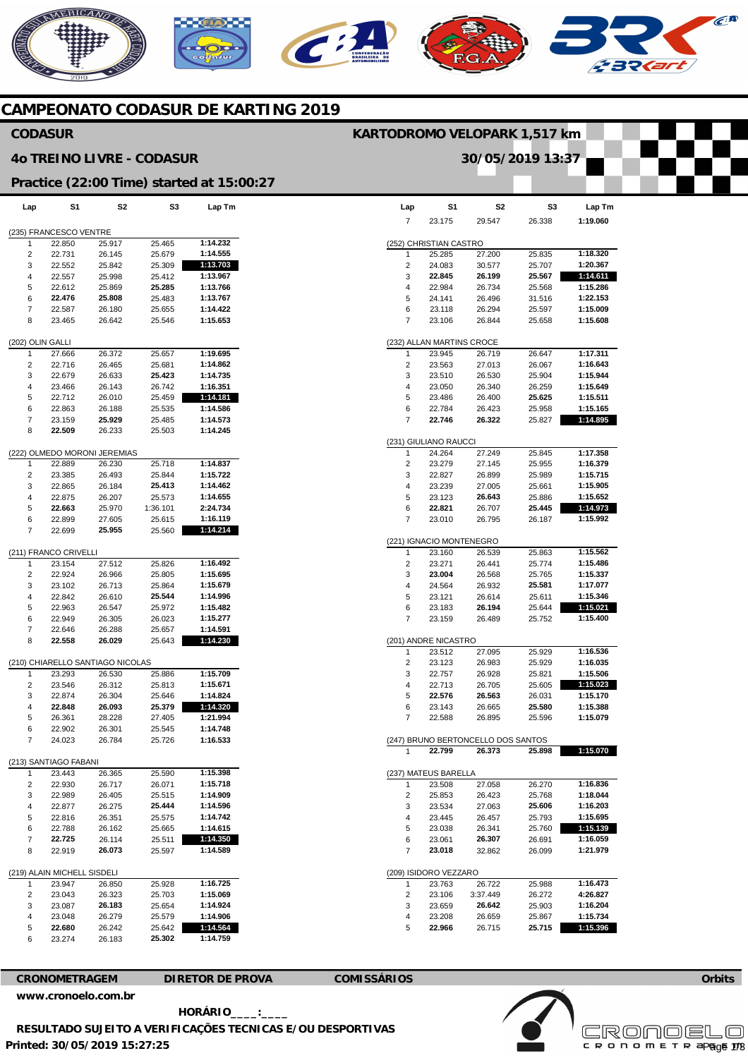# MERICANO  $\widehat{C}^{A}$

## **CAMPEONATO CODASUR DE KARTING 2019**

#### **Lap**  (235) FRANCESCO VENTRE 1 2 3 4 5 6 7 8 (202) OLIN GALLI 1 2 3 4 5 6 7 8 (222) OLMEDO MORONI JEREMIAS 1  $\overline{2}$ 3 4 5 6 7 (211) FRANCO CRIVELLI 1  $\overline{2}$ 3 4 5 6 7 8 (210) CHIARELLO SANTIAGO NICOLAS 1 2 3 4 5 6 7 (213) SANTIAGO FABANI 1  $\overline{2}$  $\overline{a}$ 4 5 6 7 8 (219) ALAIN MICHELL SISDELI  $\overline{1}$ 2 3 4 5 6 **S1**  22.850 22.731 22.552 22.557 22.612 **22.476**  22.587 23.465 27.666 22.716 22.679 23.466 22.712 22.863 23.159 **22.509**  22.889 23.385 22.865 22.875 **22.663**  22.899 22.699 23.154 22.924 23.102 22.842 22.963 22.949 22.646 **22.558**  23.293 23.546 22.874 **22.848**  26.361 22.902 24.023 23.443 22.930 22.989 22.877 22.816 22.788 **22.725**  22.919 23.947 23.043 23.087 23.048 **22.680**  23.274 **S2**  25.917 26.145 25.842 25.998 25.869 **25.808**  26.180 26.642 26.372 26.465 26.633 26.143 26.010 26.188 **25.929**  26.233 26.230 26.493 26.184 26.207 25.970 27.605 **25.955**  27.512 26.966 26.713 26.610 26.547 26.305 26.288 **26.029**  26.530 26.312 26.304 **26.093**  28.228 26.301 26.784 26.365 26.717 26.405 26.275 26.351 26.162 26.114 **26.073**  26.850 26.323 **26.183**  26.279 26.242 26.183 **S3**  25.465 25.679 25.309 25.412 **25.285**  25.483 25.655 25.546 25.657 25.681 **25.423**  26.742 25.459 25.535 25.485 25.503 25.718 25.844 **25.413**  25.573 1:36.101 25.615 25.560 25.826 25.805 25.864 **25.544**  25.972 26.023 25.657 25.643 25.886 25.813 25.646 **25.379**  27.405 25.545 25.726 25.590 26.071 25.515 **25.444**  25.575 25.665 25.511 25.597 25.928 25.703 25.654 25.579 25.642 **25.302 Lap Tm 1:14.232 1:14.555 1:13.703 1:13.967 1:13.766 1:13.767 1:14.422 1:15.653 1:19.695 1:14.862 1:14.735 1:16.351 1:14.181 1:14.586 1:14.573 1:14.245 1:14.837 1:15.722 1:14.462 1:14.655 2:24.734 1:16.119 1:14.214 1:16.492 1:15.695 1:15.679 1:14.996 1:15.482 1:15.277 1:14.591 1:14.230 1:15.709 1:15.671 1:14.824 1:14.320 1:21.994 1:14.748 1:16.533 1:15.398 1:15.718 1:14.909 1:14.596 1:14.742 1:14.615 1:14.350 1:14.589 1:16.725 1:15.069 1:14.924 1:14.906 1:14.564 1:14.759 CODASUR 4o TREINO LIVRE - CODASUR Practice (22:00 Time) started at 15:00:27**

|                       | S1                       | S2                                 | S3     |          |  |  |  |  |
|-----------------------|--------------------------|------------------------------------|--------|----------|--|--|--|--|
| Lap                   |                          |                                    |        | Lap Tm   |  |  |  |  |
| 7                     | 23.175                   | 29.547                             | 26.338 | 1:19.060 |  |  |  |  |
|                       |                          |                                    |        |          |  |  |  |  |
|                       | (252) CHRISTIAN CASTRO   |                                    |        |          |  |  |  |  |
| 1                     | 25.285                   | 27.200                             | 25.835 | 1:18.320 |  |  |  |  |
| 2                     | 24.083                   | 30.577                             | 25.707 | 1:20.367 |  |  |  |  |
| 3                     | 22.845                   | 26.199                             | 25.567 | 1:14.611 |  |  |  |  |
|                       |                          |                                    |        | 1:15.286 |  |  |  |  |
| 4                     | 22.984                   | 26.734                             | 25.568 |          |  |  |  |  |
| 5                     | 24.141                   | 26.496                             | 31.516 | 1:22.153 |  |  |  |  |
| 6                     | 23.118                   | 26.294                             | 25.597 | 1:15.009 |  |  |  |  |
| 7                     | 23.106                   | 26.844                             | 25.658 | 1:15.608 |  |  |  |  |
|                       |                          |                                    |        |          |  |  |  |  |
|                       | 232) ALLAN MARTINS CROCE |                                    |        |          |  |  |  |  |
| 1                     | 23.945                   | 26.719                             | 26.647 | 1:17.311 |  |  |  |  |
| 2                     | 23.563                   | 27.013                             | 26.067 | 1:16.643 |  |  |  |  |
| 3                     | 23.510                   | 26.530                             | 25.904 | 1:15.944 |  |  |  |  |
|                       |                          |                                    |        |          |  |  |  |  |
| 4                     | 23.050                   | 26.340                             | 26.259 | 1:15.649 |  |  |  |  |
| 5                     | 23.486                   | 26.400                             | 25.625 | 1:15.511 |  |  |  |  |
| 6                     | 22.784                   | 26.423                             | 25.958 | 1:15.165 |  |  |  |  |
| 7                     | 22.746                   | 26.322                             | 25.827 | 1:14.895 |  |  |  |  |
|                       |                          |                                    |        |          |  |  |  |  |
|                       | (231) GIULIANO RAUCCI    |                                    |        |          |  |  |  |  |
| 1                     | 24.264                   | 27.249                             | 25.845 | 1:17.358 |  |  |  |  |
|                       |                          |                                    |        |          |  |  |  |  |
| 2                     | 23.279                   | 27.145                             | 25.955 | 1:16.379 |  |  |  |  |
| 3                     | 22.827                   | 26.899                             | 25.989 | 1:15.715 |  |  |  |  |
| 4                     | 23.239                   | 27.005                             | 25.661 | 1:15.905 |  |  |  |  |
| 5                     | 23.123                   | 26.643                             | 25.886 | 1:15.652 |  |  |  |  |
| 6                     | 22.821                   | 26.707                             | 25.445 | 1:14.973 |  |  |  |  |
| 7                     | 23.010                   | 26.795                             | 26.187 | 1:15.992 |  |  |  |  |
|                       |                          |                                    |        |          |  |  |  |  |
|                       | (221) IGNACIO MONTENEGRO |                                    |        |          |  |  |  |  |
|                       |                          |                                    |        |          |  |  |  |  |
| 1                     | 23.160                   | 26.539                             | 25.863 | 1:15.562 |  |  |  |  |
| 2                     | 23.271                   | 26.441                             | 25.774 | 1:15.486 |  |  |  |  |
| 3                     | 23.004                   | 26.568                             | 25.765 | 1:15.337 |  |  |  |  |
| 4                     | 24.564                   | 26.932                             | 25.581 | 1:17.077 |  |  |  |  |
| 5                     | 23.121                   | 26.614                             | 25.611 | 1:15.346 |  |  |  |  |
| 6                     | 23.183                   | 26.194                             | 25.644 | 1:15.021 |  |  |  |  |
| 7                     | 23.159                   | 26.489                             | 25.752 | 1:15.400 |  |  |  |  |
|                       |                          |                                    |        |          |  |  |  |  |
|                       |                          |                                    |        |          |  |  |  |  |
|                       | (201) ANDRE NICASTRO     |                                    |        |          |  |  |  |  |
| 1                     | 23.512                   | 27.095                             | 25.929 | 1:16.536 |  |  |  |  |
| 2                     | 23.123                   | 26.983                             | 25.929 | 1:16.035 |  |  |  |  |
| 3                     | 22.757                   | 26.928                             | 25.821 | 1:15.506 |  |  |  |  |
| 4                     | 22.713                   | 26.705                             | 25.605 | 1:15.023 |  |  |  |  |
| 5                     | 22.576                   | 26.563                             | 26.031 | 1:15.170 |  |  |  |  |
| 6                     | 23.143                   | 26.665                             | 25.580 | 1:15.388 |  |  |  |  |
| 7                     | 22.588                   | 26.895                             | 25.596 | 1:15.079 |  |  |  |  |
|                       |                          |                                    |        |          |  |  |  |  |
|                       |                          |                                    |        |          |  |  |  |  |
|                       |                          | (247) BRUNO BERTONCELLO DOS SANTOS |        |          |  |  |  |  |
| 1                     | 22.799                   | 26.373                             | 25.898 | 1:15.070 |  |  |  |  |
|                       |                          |                                    |        |          |  |  |  |  |
|                       | (237) MATEUS BARELLA     |                                    |        |          |  |  |  |  |
| 1                     | 23.508                   | 27.058                             | 26.270 | 1:16.836 |  |  |  |  |
| 2                     | 25.853                   | 26.423                             | 25.768 | 1:18.044 |  |  |  |  |
| 3                     | 23.534                   | 27.063                             | 25.606 | 1:16.203 |  |  |  |  |
|                       |                          |                                    |        |          |  |  |  |  |
| 4                     | 23.445                   | 26.457                             | 25.793 | 1:15.695 |  |  |  |  |
| 5                     | 23.038                   | 26.341                             | 25.760 | 1:15.139 |  |  |  |  |
| 6                     | 23.061                   | 26.307                             | 26.691 | 1:16.059 |  |  |  |  |
| 7                     | 23.018                   | 32.862                             | 26.099 | 1:21.979 |  |  |  |  |
|                       |                          |                                    |        |          |  |  |  |  |
| (209) ISIDORO VEZZARO |                          |                                    |        |          |  |  |  |  |
| 1                     | 23.763                   | 26.722                             | 25.988 | 1:16.473 |  |  |  |  |
| 2                     | 23.106                   | 3:37.449                           | 26.272 | 4:26.827 |  |  |  |  |
|                       |                          |                                    |        |          |  |  |  |  |
| 3                     | 23.659                   | 26.642                             | 25.903 | 1:16.204 |  |  |  |  |
| 4                     | 23.208                   | 26.659                             | 25.867 | 1:15.734 |  |  |  |  |
| 5                     | 22.966                   | 26.715                             | 25.715 | 1:15.396 |  |  |  |  |

**KARTODROMO VELOPARK 1,517 km** 

**30/05/2019 13:37** 

**CRONOMETRAGEM DIRETOR DE PROVA COMISSÁRIOS** 



**Printed: 30/05/2019 15:27:25 [www.cronoelo.com.br](http://www.cronoelo.com.br) HORÁRIO\_\_\_\_:\_\_\_\_ RESULTADO SUJEITO A VERIFICAÇÕES TECNICAS E/OU DESPORTIVAS**  **Orbits** 

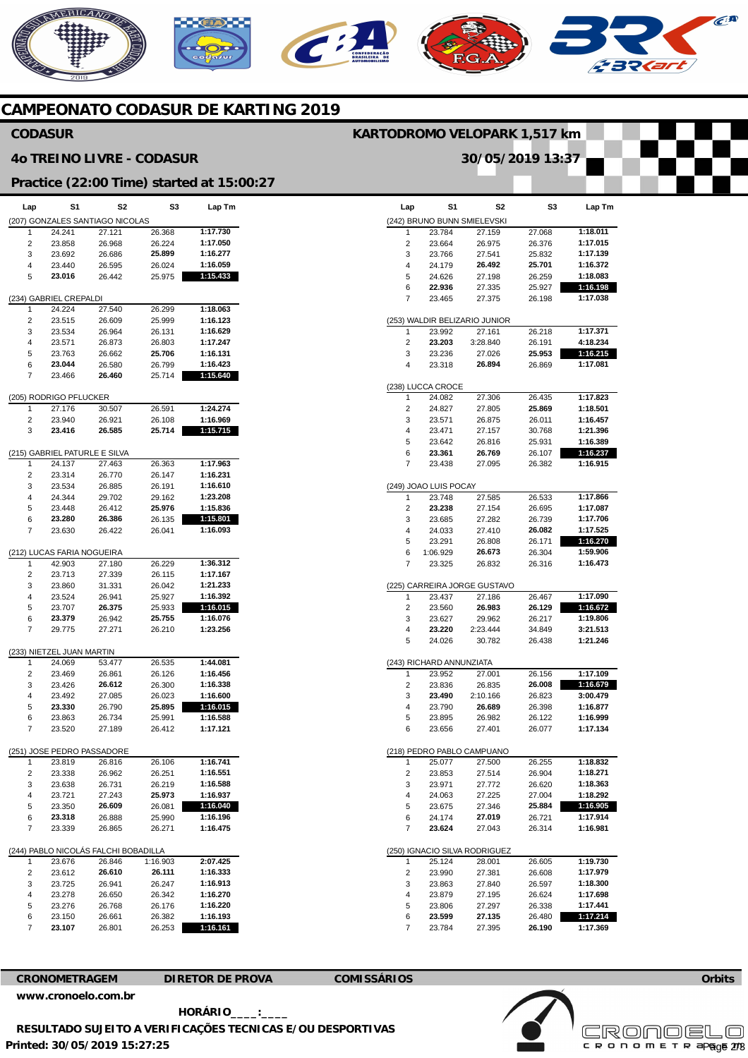

# **CAMPEONATO CODASUR DE KARTING 2019**

#### **CODASUR**

#### **4o TREINO LIVRE - CODASUR**

### **Practice (22:00 Time) started at 15:00:27**

| Lap                                  | S1                            | S2                              | S3       | Lap Tm   |  |  |  |  |
|--------------------------------------|-------------------------------|---------------------------------|----------|----------|--|--|--|--|
|                                      |                               | (207) GONZALES SANTIAGO NICOLAS |          |          |  |  |  |  |
| 1                                    | 24.241                        | 27.121                          | 26.368   | 1:17.730 |  |  |  |  |
|                                      |                               |                                 |          | 1:17.050 |  |  |  |  |
| 2                                    | 23.858                        | 26.968                          | 26.224   |          |  |  |  |  |
| 3                                    | 23.692                        | 26.686                          | 25.899   | 1:16.277 |  |  |  |  |
| 4                                    | 23.440                        | 26.595                          | 26.024   | 1:16.059 |  |  |  |  |
| 5                                    | 23.016                        | 26.442                          | 25.975   | 1:15.433 |  |  |  |  |
|                                      |                               |                                 |          |          |  |  |  |  |
|                                      |                               |                                 |          |          |  |  |  |  |
|                                      | (234) GABRIEL CREPALDI        |                                 |          |          |  |  |  |  |
| 1                                    | 24.224                        | 27.540                          | 26.299   | 1:18.063 |  |  |  |  |
| 2                                    | 23.515                        | 26.609                          | 25.999   | 1:16.123 |  |  |  |  |
| 3                                    | 23.534                        | 26.964                          | 26.131   | 1:16.629 |  |  |  |  |
| 4                                    | 23.571                        | 26.873                          | 26.803   | 1:17.247 |  |  |  |  |
|                                      |                               | 26.662                          | 25.706   | 1:16.131 |  |  |  |  |
| 5                                    | 23.763                        |                                 |          |          |  |  |  |  |
| 6                                    | 23.044                        | 26.580                          | 26.799   | 1:16.423 |  |  |  |  |
| 7                                    | 23.466                        | 26.460                          | 25.714   | 1:15.640 |  |  |  |  |
|                                      |                               |                                 |          |          |  |  |  |  |
|                                      | (205) RODRIGO PFLUCKER        |                                 |          |          |  |  |  |  |
|                                      |                               |                                 |          |          |  |  |  |  |
| 1                                    | 27.176                        | 30.507                          | 26.591   | 1:24.274 |  |  |  |  |
| 2                                    | 23.940                        | 26.921                          | 26.108   | 1:16.969 |  |  |  |  |
| 3                                    | 23.416                        | 26.585                          | 25.714   | 1:15.715 |  |  |  |  |
|                                      |                               |                                 |          |          |  |  |  |  |
|                                      |                               |                                 |          |          |  |  |  |  |
|                                      | (215) GABRIEL PATURLE E SILVA |                                 |          |          |  |  |  |  |
| 1                                    | 24.137                        | 27.463                          | 26.363   | 1:17.963 |  |  |  |  |
| 2                                    | 23.314                        | 26.770                          | 26.147   | 1:16.231 |  |  |  |  |
| 3                                    | 23.534                        | 26.885                          | 26.191   | 1:16.610 |  |  |  |  |
| 4                                    | 24.344                        | 29.702                          | 29.162   | 1:23.208 |  |  |  |  |
|                                      |                               |                                 |          |          |  |  |  |  |
| 5                                    | 23.448                        | 26.412                          | 25.976   | 1:15.836 |  |  |  |  |
| 6                                    | 23.280                        | 26.386                          | 26.135   | 1:15.801 |  |  |  |  |
| 7                                    | 23.630                        | 26.422                          | 26.041   | 1:16.093 |  |  |  |  |
|                                      |                               |                                 |          |          |  |  |  |  |
|                                      |                               |                                 |          |          |  |  |  |  |
|                                      | (212) LUCAS FARIA NOGUEIRA    |                                 |          |          |  |  |  |  |
| 1                                    | 42.903                        | 27.180                          | 26.229   | 1:36.312 |  |  |  |  |
| 2                                    | 23.713                        | 27.339                          | 26.115   | 1:17.167 |  |  |  |  |
| 3                                    | 23.860                        | 31.331                          | 26.042   | 1:21.233 |  |  |  |  |
| 4                                    | 23.524                        | 26.941                          | 25.927   | 1:16.392 |  |  |  |  |
|                                      |                               |                                 |          |          |  |  |  |  |
| 5                                    | 23.707                        | 26.375                          | 25.933   | 1:16.015 |  |  |  |  |
| 6                                    | 23.379                        | 26.942                          | 25.755   | 1:16.076 |  |  |  |  |
| 7                                    | 29.775                        | 27.271                          | 26.210   | 1:23.256 |  |  |  |  |
|                                      |                               |                                 |          |          |  |  |  |  |
|                                      |                               |                                 |          |          |  |  |  |  |
|                                      | (233) NIETZEL JUAN MARTIN     |                                 |          |          |  |  |  |  |
| 1                                    | 24.069                        | 53.477                          | 26.535   | 1:44.081 |  |  |  |  |
| 2                                    | 23.469                        | 26.861                          | 26.126   | 1:16.456 |  |  |  |  |
| 3                                    | 23.426                        | 26.612                          | 26.300   | 1:16.338 |  |  |  |  |
| 4                                    | 23.492                        | 27.085                          | 26.023   | 1:16.600 |  |  |  |  |
|                                      |                               |                                 |          |          |  |  |  |  |
| 5                                    | 23.330                        | 26.790                          | 25.895   | 1:16.015 |  |  |  |  |
| 6                                    | 23.863                        | 26.734                          | 25.991   | 1:16.588 |  |  |  |  |
| 7                                    | 23.520                        | 27.189                          | 26.412   | 1:17.121 |  |  |  |  |
|                                      |                               |                                 |          |          |  |  |  |  |
| (251) JOSE PEDRO PASSADORE           |                               |                                 |          |          |  |  |  |  |
|                                      |                               |                                 |          |          |  |  |  |  |
| 1                                    | 23.819                        | 26.816                          | 26.106   | 1:16.741 |  |  |  |  |
| 2                                    | 23.338                        | 26.962                          | 26.251   | 1:16.551 |  |  |  |  |
| 3                                    | 23.638                        | 26.731                          | 26.219   | 1:16.588 |  |  |  |  |
| 4                                    | 23.721                        | 27.243                          | 25.973   | 1:16.937 |  |  |  |  |
|                                      |                               |                                 |          |          |  |  |  |  |
| 5                                    | 23.350                        | 26.609                          | 26.081   | 1:16.040 |  |  |  |  |
| 6                                    | 23.318                        | 26.888                          | 25.990   | 1:16.196 |  |  |  |  |
| 7                                    | 23.339                        | 26.865                          | 26.271   | 1:16.475 |  |  |  |  |
|                                      |                               |                                 |          |          |  |  |  |  |
| (244) PABLO NICOLÁS FALCHI BOBADILLA |                               |                                 |          |          |  |  |  |  |
|                                      |                               |                                 |          |          |  |  |  |  |
| 1                                    | 23.676                        | 26.846                          | 1:16.903 | 2:07.425 |  |  |  |  |
| 2                                    | 23.612                        | 26.610                          | 26.111   | 1:16.333 |  |  |  |  |
| 3                                    | 23.725                        | 26.941                          | 26.247   | 1:16.913 |  |  |  |  |
| 4                                    | 23.278                        | 26.650                          | 26.342   | 1:16.270 |  |  |  |  |
|                                      |                               |                                 |          |          |  |  |  |  |
| 5                                    | 23.276                        | 26.768                          | 26.176   | 1:16.220 |  |  |  |  |
| 6                                    | 23.150                        | 26.661                          | 26.382   | 1:16.193 |  |  |  |  |
| 7                                    | 23.107                        | 26.801                          | 26.253   | 1:16.161 |  |  |  |  |
|                                      |                               |                                 |          |          |  |  |  |  |

| Lap            | S1                          | S2                            | S3               | Lap Tm               |  |  |  |  |
|----------------|-----------------------------|-------------------------------|------------------|----------------------|--|--|--|--|
|                | (242) BRUNO BUNN SMIELEVSKI |                               |                  |                      |  |  |  |  |
| 1              | 23.784                      | 27.159                        | 27.068           | 1:18.011             |  |  |  |  |
| 2              | 23.664                      | 26.975                        | 26.376           | 1:17.015             |  |  |  |  |
| 3              | 23.766                      | 27.541                        | 25.832           | 1:17.139             |  |  |  |  |
| 4              | 24.179                      | 26.492                        | 25.701           | 1:16.372             |  |  |  |  |
| 5              | 24.626                      | 27.198                        | 26.259           | 1:18.083             |  |  |  |  |
| 6              | 22.936                      | 27.335                        | 25.927           | 1:16.198             |  |  |  |  |
| 7              | 23.465                      | 27.375                        | 26.198           | 1:17.038             |  |  |  |  |
|                |                             | (253) WALDIR BELIZARIO JUNIOR |                  |                      |  |  |  |  |
| 1              | 23.992                      | 27.161                        | 26.218           | 1:17.371             |  |  |  |  |
| 2              | 23.203                      | 3:28.840                      | 26.191           | 4:18.234             |  |  |  |  |
| 3<br>4         | 23.236<br>23.318            | 27.026<br>26.894              | 25.953<br>26.869 | 1:16.215<br>1:17.081 |  |  |  |  |
|                |                             |                               |                  |                      |  |  |  |  |
| 1              | (238) LUCCA CROCE<br>24.082 | 27.306                        | 26.435           | 1:17.823             |  |  |  |  |
| 2              | 24.827                      | 27.805                        | 25.869           | 1:18.501             |  |  |  |  |
| 3              | 23.571                      | 26.875                        | 26.011           | 1:16.457             |  |  |  |  |
| 4              | 23.471                      | 27.157                        | 30.768           | 1:21.396             |  |  |  |  |
| 5              | 23.642                      | 26.816                        | 25.931           | 1:16.389             |  |  |  |  |
| 6              | 23.361                      | 26.769                        | 26.107           | 1:16.237             |  |  |  |  |
| 7              | 23.438                      | 27.095                        | 26.382           | 1:16.915             |  |  |  |  |
|                | (249) JOAO LUIS POCAY       |                               |                  |                      |  |  |  |  |
| 1              | 23.748                      | 27.585                        | 26.533           | 1:17.866             |  |  |  |  |
| $\overline{c}$ | 23.238                      | 27.154                        | 26.695           | 1:17.087             |  |  |  |  |
| 3              | 23.685                      | 27.282                        | 26.739           | 1:17.706             |  |  |  |  |
| 4              | 24.033                      | 27.410                        | 26.082           | 1:17.525             |  |  |  |  |
| 5              | 23.291                      | 26.808                        | 26.171           | 1:16.270             |  |  |  |  |
| 6              | 1:06.929                    | 26.673                        | 26.304           | 1:59.906             |  |  |  |  |
| 7              | 23.325                      | 26.832                        | 26.316           | 1:16.473             |  |  |  |  |
|                |                             | (225) CARREIRA JORGE GUSTAVO  |                  |                      |  |  |  |  |
| 1              | 23.437                      | 27.186                        | 26.467           | 1:17.090             |  |  |  |  |
| 2              | 23.560                      | 26.983                        | 26.129           | 1:16.672             |  |  |  |  |
| 3              | 23.627                      | 29.962                        | 26.217           | 1:19.806             |  |  |  |  |
| 4              | 23.220                      | 2:23.444                      | 34.849           | 3:21.513             |  |  |  |  |
| 5              | 24.026                      | 30.782                        | 26.438           | 1:21.246             |  |  |  |  |
|                | 243) RICHARD ANNUNZIATA     |                               |                  |                      |  |  |  |  |
| 1              | 23.952                      | 27.001                        | 26.156           | 1:17.109             |  |  |  |  |
| 2              | 23.836                      | 26.835                        | 26.008           | 1:16.679             |  |  |  |  |
| 3              | 23.490                      | 2:10.166                      | 26.823           | 3:00.479             |  |  |  |  |
| 4              | 23.790                      | 26.689                        | 26.398           | 1:16.877             |  |  |  |  |
| 5              | 23.895                      | 26.982                        | 26.122           | 1:16.999             |  |  |  |  |
| 6              | 23.656                      | 27.401                        | 26.077           | 1:17.134             |  |  |  |  |
|                |                             | (218) PEDRO PABLO CAMPUANO    |                  |                      |  |  |  |  |
| 1              | 25.077                      | 27.500                        | 26.255           | 1:18.832             |  |  |  |  |
| 2              | 23.853                      | 27.514                        | 26.904           | 1:18.271             |  |  |  |  |
| 3              | 23.971                      | 27.772                        | 26.620           | 1:18.363             |  |  |  |  |
| 4              | 24.063                      | 27.225                        | 27.004           | 1:18.292             |  |  |  |  |
| 5              | 23.675                      | 27.346                        | 25.884           | 1:16.905             |  |  |  |  |
| 6              | 24.174                      | 27.019                        | 26.721           | 1:17.914             |  |  |  |  |
| 7              | 23.624                      | 27.043                        | 26.314           | 1:16.981             |  |  |  |  |
|                |                             | (250) IGNACIO SILVA RODRIGUEZ |                  |                      |  |  |  |  |
| 1              | 25.124                      | 28.001                        | 26.605           | 1:19.730             |  |  |  |  |
| 2              | 23.990                      | 27.381                        | 26.608           | 1:17.979             |  |  |  |  |
| 3              | 23.863                      | 27.840                        | 26.597           | 1:18.300             |  |  |  |  |
| 4              | 23.879                      | 27.195                        | 26.624           | 1:17.698             |  |  |  |  |
| 5              | 23.806<br>23.599            | 27.297                        | 26.338           | 1:17.441             |  |  |  |  |
| 6<br>7         | 23.784                      | 27.135<br>27.395              | 26.480<br>26.190 | 1:17.214<br>1:17.369 |  |  |  |  |
|                |                             |                               |                  |                      |  |  |  |  |

**KARTODROMO VELOPARK 1,517 km** 

**30/05/2019 13:37** 



**CRONOMETRAGEM DIRETOR DE PROVA COMISSÁRIOS** 

**Orbits** 



**Printed: 30/05/2019 15:27:25**